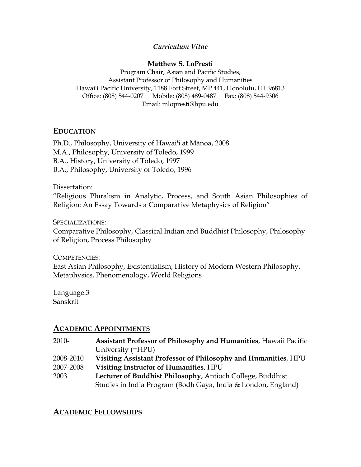#### *Curriculum Vitae*

#### **Matthew S. LoPresti**

Program Chair, Asian and Pacific Studies, Assistant Professor of Philosophy and Humanities Hawai'i Pacific University, 1188 Fort Street, MP 441, Honolulu, HI 96813 Office: (808) 544-0207 Mobile: (808) 489-0487 Fax: (808) 544-9306 Email: mlopresti@hpu.edu

## **EDUCATION**

Ph.D., Philosophy, University of Hawai'i at Mānoa, 2008 M.A., Philosophy, University of Toledo, 1999 B.A., History, University of Toledo, 1997 B.A., Philosophy, University of Toledo, 1996

Dissertation:

"Religious Pluralism in Analytic, Process, and South Asian Philosophies of Religion: An Essay Towards a Comparative Metaphysics of Religion"

SPECIALIZATIONS:

Comparative Philosophy, Classical Indian and Buddhist Philosophy, Philosophy of Religion, Process Philosophy

COMPETENCIES:

East Asian Philosophy, Existentialism, History of Modern Western Philosophy, Metaphysics, Phenomenology, World Religions

Language:3 Sanskrit

# **ACADEMIC APPOINTMENTS**

- 2010- **Assistant Professor of Philosophy and Humanities**, Hawaii Pacific University (=HPU)
- 2008-2010 **Visiting Assistant Professor of Philosophy and Humanities**, HPU
- 2007-2008 **Visiting Instructor of Humanities**, HPU
- 2003 **Lecturer of Buddhist Philosophy**, Antioch College, Buddhist Studies in India Program (Bodh Gaya, India & London, England)

**ACADEMIC FELLOWSHIPS**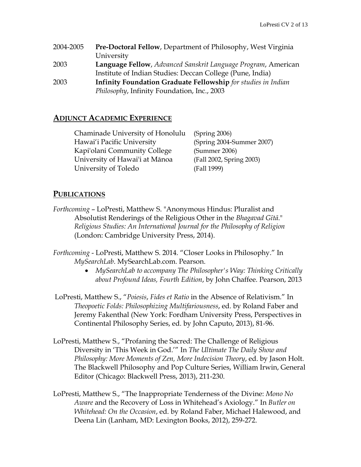| 2004-2005 | <b>Pre-Doctoral Fellow, Department of Philosophy, West Virginia</b>  |
|-----------|----------------------------------------------------------------------|
|           | University                                                           |
| 2003      | Language Fellow, Advanced Sanskrit Language Program, American        |
|           | Institute of Indian Studies: Deccan College (Pune, India)            |
| 2003      | <b>Infinity Foundation Graduate Fellowship</b> for studies in Indian |
|           | Philosophy, Infinity Foundation, Inc., 2003                          |

#### **ADJUNCT ACADEMIC EXPERIENCE**

Chaminade University of Honolulu (Spring 2006) Hawai'i Pacific University (Spring 2004-Summer 2007) Kapi'olani Community College (Summer 2006) University of Hawai'i at Mānoa (Fall 2002, Spring 2003) University of Toledo (Fall 1999)

#### **PUBLICATIONS**

- *Forthcoming* LoPresti, Matthew S. "Anonymous Hindus: Pluralist and Absolutist Renderings of the Religious Other in the *Bhagavad Gītā*." *Religious Studies: An International Journal for the Philosophy of Religion* (London: Cambridge University Press, 2014).
- *Forthcoming*  LoPresti, Matthew S. 2014. "Closer Looks in Philosophy." In *MySearchLab*. MySearchLab.com. Pearson.
	- *MySearchLab to accompany The Philosopher's Way: Thinking Critically about Profound Ideas, Fourth Edition*, by John Chaffee. Pearson, 2013
- LoPresti, Matthew S., "*Poiesis*, *Fides et Ratio* in the Absence of Relativism." In *Theopoetic Folds: Philosophizing Multifariousness*, ed. by Roland Faber and Jeremy Fakenthal (New York: Fordham University Press, Perspectives in Continental Philosophy Series, ed. by John Caputo, 2013), 81-96.
- LoPresti, Matthew S., "Profaning the Sacred: The Challenge of Religious Diversity in 'This Week in God.'" In *The Ultimate The Daily Show and Philosophy: More Moments of Zen, More Indecision Theory*, ed. by Jason Holt. The Blackwell Philosophy and Pop Culture Series, William Irwin, General Editor (Chicago: Blackwell Press, 2013), 211-230.
- LoPresti, Matthew S., "The Inappropriate Tenderness of the Divine: *Mono No Aware* and the Recovery of Loss in Whitehead's Axiology." In *Butler on Whitehead: On the Occasion*, ed. by Roland Faber, Michael Halewood, and Deena Lin (Lanham, MD: Lexington Books, 2012), 259-272.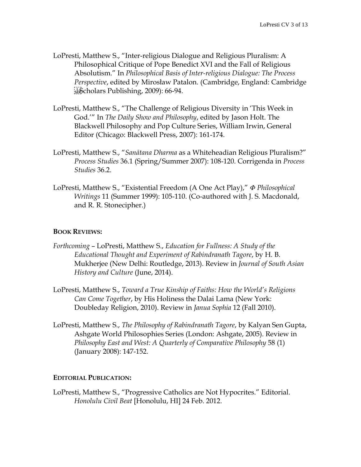- LoPresti, Matthew S., "Inter-religious Dialogue and Religious Pluralism: A Philosophical Critique of Pope Benedict XVI and the Fall of Religious Absolutism." In *Philosophical Basis of Inter-religious Dialogue: The Process Perspective*, edited by Mirosław Patalon. (Cambridge, England: Cambridge  $\frac{1}{25}$ Scholars Publishing, 2009): 66-94.
- LoPresti, Matthew S., "The Challenge of Religious Diversity in 'This Week in God.'" In *The Daily Show and Philosophy*, edited by Jason Holt. The Blackwell Philosophy and Pop Culture Series, William Irwin, General Editor (Chicago: Blackwell Press, 2007): 161-174.
- LoPresti, Matthew S., "*Sanātana Dharma* as a Whiteheadian Religious Pluralism?" *Process Studies* 36.1 (Spring/Summer 2007): 108-120. Corrigenda in *Process Studies* 36.2.
- LoPresti, Matthew S., "Existential Freedom (A One Act Play)," *Φ Philosophical Writings* 11 (Summer 1999): 105-110. (Co-authored with J. S. Macdonald, and R. R. Stonecipher.)

#### **BOOK REVIEWS:**

- *Forthcoming* LoPresti, Matthew S., *Education for Fullness: A Study of the Educational Thought and Experiment of Rabindranath Tagore*, by H. B. Mukherjee (New Delhi: Routledge, 2013). Review in *Journal of South Asian History and Culture* (June, 2014).
- LoPresti, Matthew S., *Toward a True Kinship of Faiths: How the World's Religions Can Come Together*, by His Holiness the Dalai Lama (New York: Doubleday Religion, 2010). Review in *Janua Sophia* 12 (Fall 2010).
- LoPresti, Matthew S., *The Philosophy of Rabindranath Tagore*, by Kalyan Sen Gupta, Ashgate World Philosophies Series (London: Ashgate, 2005). Review in *Philosophy East and West: A Quarterly of Comparative Philosophy 58 (1)* (January 2008): 147-152.

#### **EDITORIAL PUBLICATION:**

LoPresti, Matthew S., "Progressive Catholics are Not Hypocrites." Editorial. *Honolulu Civil Beat* [Honolulu, HI] 24 Feb. 2012.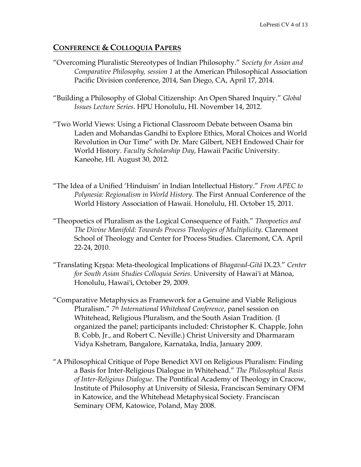# **CONFERENCE & COLLOQUIA PAPERS**

- "Overcoming Pluralistic Stereotypes of Indian Philosophy." *Society for Asian and Comparative Philosophy, session 1* at the American Philosophical Association Pacific Division conference, 2014, San Diego, CA, April 17, 2014.
- "Building a Philosophy of Global Citizenship: An Open Shared Inquiry." *Global Issues Lecture Series.* HPU Honolulu, HI. November 14, 2012.
- "Two World Views: Using a Fictional Classroom Debate between Osama bin Laden and Mohandas Gandhi to Explore Ethics, Moral Choices and World Revolution in Our Time" with Dr. Marc Gilbert, NEH Endowed Chair for World History. *Faculty Scholarship Day*, Hawaii Pacific University. Kaneohe, HI. August 30, 2012.
- "The Idea of a Unified 'Hinduism' in Indian Intellectual History." *From APEC to Polynesia: Regionalism in World History.* The First Annual Conference of the World History Association of Hawaii. Honolulu, HI. October 15, 2011.
- "Theopoetics of Pluralism as the Logical Consequence of Faith." *Theopoetics and The Divine Manifold: Towards Process Theologies of Multiplicity.* Claremont School of Theology and Center for Process Studies. Claremont, CA. April 22-24, 2010.
- "Translating Kŗşņa: Meta-theological Implications of *Bhagavad-Gītā* IX.23." *Center for South Asian Studies Colloquia Series*. University of Hawai'i at Mānoa, Honolulu, Hawai'i, October 29, 2009.
- "Comparative Metaphysics as Framework for a Genuine and Viable Religious Pluralism." *7th International Whitehead Conference*, panel session on Whitehead, Religious Pluralism, and the South Asian Tradition. (I organized the panel; participants included: Christopher K. Chapple, John B. Cobb, Jr., and Robert C. Neville.) Christ University and Dharmaram Vidya Kshetram, Bangalore, Karnataka, India, January 2009.
- "A Philosophical Critique of Pope Benedict XVI on Religious Pluralism: Finding a Basis for Inter-Religious Dialogue in Whitehead." *The Philosophical Basis of Inter-Religious Dialogue*. The Pontifical Academy of Theology in Cracow, Institute of Philosophy at University of Silesia, Franciscan Seminary OFM in Katowice, and the Whitehead Metaphysical Society. Franciscan Seminary OFM, Katowice, Poland, May 2008.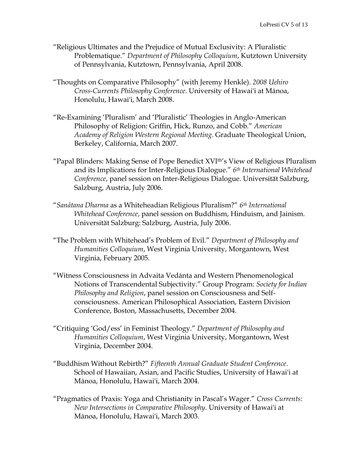- "Religious Ultimates and the Prejudice of Mutual Exclusivity: A Pluralistic Problematique." *Department of Philosophy Colloquium*, Kutztown University of Pennsylvania, Kutztown, Pennsylvania, April 2008.
- "Thoughts on Comparative Philosophy" (with Jeremy Henkle). *2008 Uehiro Cross-Currents Philosophy Conference*. University of Hawai'i at Mānoa, Honolulu, Hawai'i, March 2008.
- "Re-Examining 'Pluralism' and 'Pluralistic' Theologies in Anglo-American Philosophy of Religion: Griffin, Hick, Runzo, and Cobb." *American Academy of Religion Western Regional Meeting*. Graduate Theological Union, Berkeley, California, March 2007.
- "Papal Blinders: Making Sense of Pope Benedict XVIth's View of Religious Pluralism and its Implications for Inter-Religious Dialogue." *6th International Whitehead Conference*, panel session on Inter-Religious Dialogue. Universität Salzburg, Salzburg, Austria, July 2006.
- "*Sanātana Dharma* as a Whiteheadian Religious Pluralism?" *6th International Whitehead Conference*, panel session on Buddhism, Hinduism, and Jainism. Universität Salzburg: Salzburg, Austria, July 2006.
- "The Problem with Whitehead's Problem of Evil." *Department of Philosophy and Humanities Colloquium*, West Virginia University, Morgantown, West Virginia, February 2005.
- "Witness Consciousness in Advaita Vedānta and Western Phenomenological Notions of Transcendental Subjectivity." Group Program: *Society for Indian Philosophy and Religion*, panel session on Consciousness and Selfconsciousness. American Philosophical Association, Eastern Division Conference, Boston, Massachusetts, December 2004.
- "Critiquing 'God/ess' in Feminist Theology." *Department of Philosophy and Humanities Colloquium*, West Virginia University, Morgantown, West Virginia, December 2004.
- "Buddhism Without Rebirth?" *Fifteenth Annual Graduate Student Conference*. School of Hawaiian, Asian, and Pacific Studies, University of Hawai'i at Mānoa, Honolulu, Hawai'i, March 2004.
- "Pragmatics of Praxis: Yoga and Christianity in Pascal's Wager." *Cross Currents: New Intersections in Comparative Philosophy*. University of Hawai'i at Mānoa, Honolulu, Hawai'i, March 2003.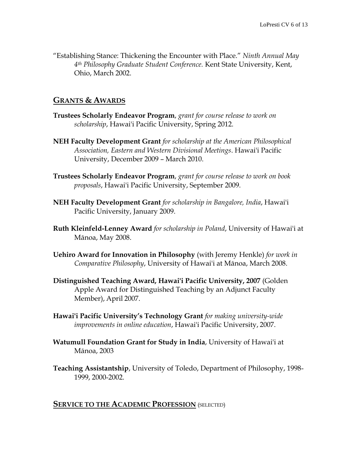"Establishing Stance: Thickening the Encounter with Place." *Ninth Annual May 4th Philosophy Graduate Student Conference.* Kent State University, Kent, Ohio, March 2002.

### **GRANTS & AWARDS**

- **Trustees Scholarly Endeavor Program**, *grant for course release to work on scholarship*, Hawai'i Pacific University, Spring 2012.
- **NEH Faculty Development Grant** *for scholarship at the American Philosophical Association, Eastern and Western Divisional Meetings*. Hawai'i Pacific University, December 2009 – March 2010.
- **Trustees Scholarly Endeavor Program**, *grant for course release to work on book proposals*, Hawai'i Pacific University, September 2009.
- **NEH Faculty Development Grant** *for scholarship in Bangalore, India*, Hawai'i Pacific University, January 2009.
- **Ruth Kleinfeld-Lenney Award** *for scholarship in Poland*, University of Hawai'i at Mānoa, May 2008.
- **Uehiro Award for Innovation in Philosophy** (with Jeremy Henkle) *for work in Comparative Philosophy*, University of Hawai'i at Mānoa, March 2008.
- **Distinguished Teaching Award, Hawai'i Pacific University, 2007** (Golden Apple Award for Distinguished Teaching by an Adjunct Faculty Member), April 2007.
- **Hawai'i Pacific University's Technology Grant** *for making university-wide improvements in online education*, Hawai'i Pacific University, 2007.
- **Watumull Foundation Grant for Study in India**, University of Hawai'i at Mānoa, 2003
- **Teaching Assistantship**, University of Toledo, Department of Philosophy, 1998- 1999, 2000-2002.

#### **SERVICE TO THE ACADEMIC PROFESSION** (SELECTED)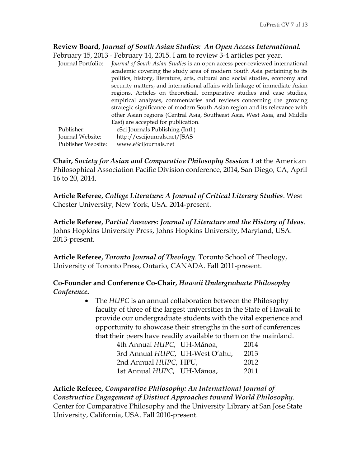# **Review Board,** *Journal of South Asian Studies: An Open Access International.*

February 15, 2013 - February 14, 2015. I am to review 3-4 articles per year. Journal Portfolio: *Journal of South Asian Studies* is an open access peer-reviewed international academic covering the study area of modern South Asia pertaining to its politics, history, literature, arts, cultural and social studies, economy and security matters, and international affairs with linkage of immediate Asian regions. Articles on theoretical, comparative studies and case studies, empirical analyses, commentaries and reviews concerning the growing strategic significance of modern South Asian region and its relevance with other Asian regions (Central Asia, Southeast Asia, West Asia, and Middle East) are accepted for publication. Publisher: eSci Journals Publishing (Intl.) Journal Website: http://escijounrals.net/JSAS

Publisher Website: www.eSciJournals.net

**Chair,** *Society for Asian and Comparative Philosophy Session 1* at the American Philosophical Association Pacific Division conference, 2014, San Diego, CA, April 16 to 20, 2014.

**Article Referee,** *College Literature: A Journal of Critical Literary Studies*. West Chester University, New York, USA. 2014-present.

**Article Referee,** *Partial Answers: Journal of Literature and the History of Ideas*. Johns Hopkins University Press, Johns Hopkins University, Maryland, USA. 2013-present.

**Article Referee,** *Toronto Journal of Theology*. Toronto School of Theology, University of Toronto Press, Ontario, CANADA. Fall 2011-present.

### **Co-Founder and Conference Co-Chair,** *Hawaii Undergraduate Philosophy Conference***.**

• The *HUPC* is an annual collaboration between the Philosophy faculty of three of the largest universities in the State of Hawaii to provide our undergraduate students with the vital experience and opportunity to showcase their strengths in the sort of conferences that their peers have readily available to them on the mainland.

| 4th Annual HUPC, UH-Mānoa,      | 2014 |
|---------------------------------|------|
| 3rd Annual HUPC, UH-West O'ahu, | 2013 |
| 2nd Annual HUPC, HPU,           | 2012 |
| 1st Annual HUPC, UH-Mānoa,      | 2011 |

### **Article Referee,** *Comparative Philosophy: An International Journal of Constructive Engagement of Distinct Approaches toward World Philosophy*. Center for Comparative Philosophy and the University Library at San Jose State University, California, USA. Fall 2010-present.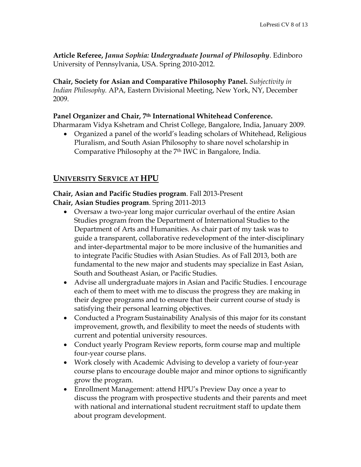**Article Referee,** *Janua Sophia: Undergraduate Journal of Philosophy*. Edinboro University of Pennsylvania, USA. Spring 2010-2012.

**Chair, Society for Asian and Comparative Philosophy Panel.** *Subjectivity in Indian Philosophy.* APA, Eastern Divisional Meeting, New York, NY, December 2009.

#### **Panel Organizer and Chair, 7th International Whitehead Conference.**

Dharmaram Vidya Kshetram and Christ College, Bangalore, India, January 2009.

 Organized a panel of the world's leading scholars of Whitehead, Religious Pluralism, and South Asian Philosophy to share novel scholarship in Comparative Philosophy at the 7th IWC in Bangalore, India.

# **UNIVERSITY SERVICE AT HPU**

**Chair, Asian and Pacific Studies program**. Fall 2013-Present **Chair, Asian Studies program**. Spring 2011-2013

- Oversaw a two-year long major curricular overhaul of the entire Asian Studies program from the Department of International Studies to the Department of Arts and Humanities. As chair part of my task was to guide a transparent, collaborative redevelopment of the inter-disciplinary and inter-departmental major to be more inclusive of the humanities and to integrate Pacific Studies with Asian Studies. As of Fall 2013, both are fundamental to the new major and students may specialize in East Asian, South and Southeast Asian, or Pacific Studies.
- Advise all undergraduate majors in Asian and Pacific Studies. I encourage each of them to meet with me to discuss the progress they are making in their degree programs and to ensure that their current course of study is satisfying their personal learning objectives.
- Conducted a Program Sustainability Analysis of this major for its constant improvement, growth, and flexibility to meet the needs of students with current and potential university resources.
- Conduct yearly Program Review reports, form course map and multiple four-year course plans.
- Work closely with Academic Advising to develop a variety of four-year course plans to encourage double major and minor options to significantly grow the program.
- Enrollment Management: attend HPU's Preview Day once a year to discuss the program with prospective students and their parents and meet with national and international student recruitment staff to update them about program development.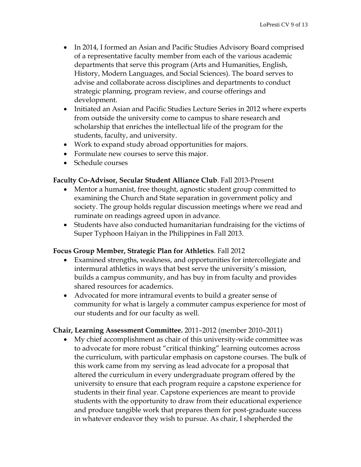- In 2014, I formed an Asian and Pacific Studies Advisory Board comprised of a representative faculty member from each of the various academic departments that serve this program (Arts and Humanities, English, History, Modern Languages, and Social Sciences). The board serves to advise and collaborate across disciplines and departments to conduct strategic planning, program review, and course offerings and development.
- Initiated an Asian and Pacific Studies Lecture Series in 2012 where experts from outside the university come to campus to share research and scholarship that enriches the intellectual life of the program for the students, faculty, and university.
- Work to expand study abroad opportunities for majors.
- Formulate new courses to serve this major.
- Schedule courses

#### **Faculty Co-Advisor, Secular Student Alliance Club**. Fall 2013-Present

- Mentor a humanist, free thought, agnostic student group committed to examining the Church and State separation in government policy and society. The group holds regular discussion meetings where we read and ruminate on readings agreed upon in advance.
- Students have also conducted humanitarian fundraising for the victims of Super Typhoon Haiyan in the Philippines in Fall 2013.

#### **Focus Group Member, Strategic Plan for Athletics**. Fall 2012

- Examined strengths, weakness, and opportunities for intercollegiate and intermural athletics in ways that best serve the university's mission, builds a campus community, and has buy in from faculty and provides shared resources for academics.
- Advocated for more intramural events to build a greater sense of community for what is largely a commuter campus experience for most of our students and for our faculty as well.

#### **Chair, Learning Assessment Committee.** 2011–2012 (member 2010–2011)

 My chief accomplishment as chair of this university-wide committee was to advocate for more robust "critical thinking" learning outcomes across the curriculum, with particular emphasis on capstone courses. The bulk of this work came from my serving as lead advocate for a proposal that altered the curriculum in every undergraduate program offered by the university to ensure that each program require a capstone experience for students in their final year. Capstone experiences are meant to provide students with the opportunity to draw from their educational experience and produce tangible work that prepares them for post-graduate success in whatever endeavor they wish to pursue. As chair, I shepherded the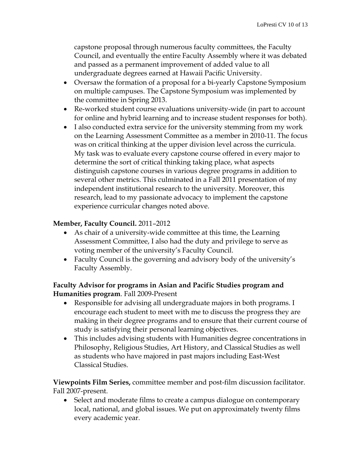capstone proposal through numerous faculty committees, the Faculty Council, and eventually the entire Faculty Assembly where it was debated and passed as a permanent improvement of added value to all undergraduate degrees earned at Hawaii Pacific University.

- Oversaw the formation of a proposal for a bi-yearly Capstone Symposium on multiple campuses. The Capstone Symposium was implemented by the committee in Spring 2013.
- Re-worked student course evaluations university-wide (in part to account for online and hybrid learning and to increase student responses for both).
- I also conducted extra service for the university stemming from my work on the Learning Assessment Committee as a member in 2010-11. The focus was on critical thinking at the upper division level across the curricula. My task was to evaluate every capstone course offered in every major to determine the sort of critical thinking taking place, what aspects distinguish capstone courses in various degree programs in addition to several other metrics. This culminated in a Fall 2011 presentation of my independent institutional research to the university. Moreover, this research, lead to my passionate advocacy to implement the capstone experience curricular changes noted above.

### **Member, Faculty Council.** 2011–2012

- As chair of a university-wide committee at this time, the Learning Assessment Committee, I also had the duty and privilege to serve as voting member of the university's Faculty Council.
- Faculty Council is the governing and advisory body of the university's Faculty Assembly.

### **Faculty Advisor for programs in Asian and Pacific Studies program and Humanities program**. Fall 2009-Present

- Responsible for advising all undergraduate majors in both programs. I encourage each student to meet with me to discuss the progress they are making in their degree programs and to ensure that their current course of study is satisfying their personal learning objectives.
- This includes advising students with Humanities degree concentrations in Philosophy, Religious Studies, Art History, and Classical Studies as well as students who have majored in past majors including East-West Classical Studies.

**Viewpoints Film Series,** committee member and post-film discussion facilitator. Fall 2007-present.

• Select and moderate films to create a campus dialogue on contemporary local, national, and global issues. We put on approximately twenty films every academic year.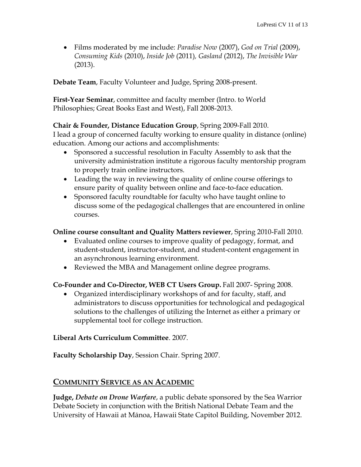Films moderated by me include: *Paradise Now* (2007), *God on Trial* (2009), *Consuming Kids* (2010), *Inside Job* (2011)*, Gasland* (2012), *The Invisible War* (2013).

**Debate Team**, Faculty Volunteer and Judge, Spring 2008-present.

**First-Year Seminar**, committee and faculty member (Intro. to World Philosophies; Great Books East and West), Fall 2008-2013.

#### **Chair & Founder, Distance Education Group**, Spring 2009-Fall 2010.

I lead a group of concerned faculty working to ensure quality in distance (online) education. Among our actions and accomplishments:

- Sponsored a successful resolution in Faculty Assembly to ask that the university administration institute a rigorous faculty mentorship program to properly train online instructors.
- Leading the way in reviewing the quality of online course offerings to ensure parity of quality between online and face-to-face education.
- Sponsored faculty roundtable for faculty who have taught online to discuss some of the pedagogical challenges that are encountered in online courses.

**Online course consultant and Quality Matters reviewer**, Spring 2010-Fall 2010.

- Evaluated online courses to improve quality of pedagogy, format, and student-student, instructor-student, and student-content engagement in an asynchronous learning environment.
- Reviewed the MBA and Management online degree programs.

### **Co-Founder and Co-Director, WEB CT Users Group.** Fall 2007- Spring 2008.

 Organized interdisciplinary workshops of and for faculty, staff, and administrators to discuss opportunities for technological and pedagogical solutions to the challenges of utilizing the Internet as either a primary or supplemental tool for college instruction.

#### **Liberal Arts Curriculum Committee**. 2007.

**Faculty Scholarship Day**, Session Chair. Spring 2007.

# **COMMUNITY SERVICE AS AN ACADEMIC**

**Judge,** *Debate on Drone Warfare*, a public debate sponsored by the Sea Warrior Debate Society in conjunction with the British National Debate Team and the University of Hawaii at Mānoa, Hawaii State Capitol Building, November 2012.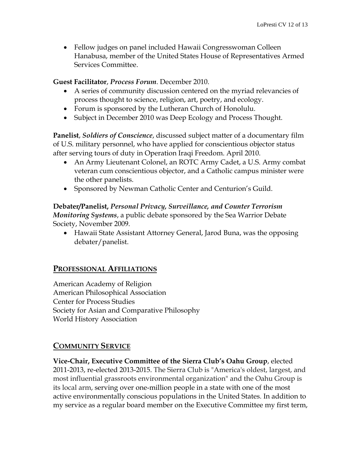• Fellow judges on panel included Hawaii Congresswoman Colleen Hanabusa, member of the United States House of Representatives Armed Services Committee.

#### **Guest Facilitator**, *Process Forum*. December 2010.

- A series of community discussion centered on the myriad relevancies of process thought to science, religion, art, poetry, and ecology.
- Forum is sponsored by the Lutheran Church of Honolulu.
- Subject in December 2010 was Deep Ecology and Process Thought.

**Panelist**, *Soldiers of Conscience*, discussed subject matter of a documentary film of U.S. military personnel, who have applied for conscientious objector status after serving tours of duty in Operation Iraqi Freedom. April 2010.

- An Army Lieutenant Colonel, an ROTC Army Cadet, a U.S. Army combat veteran cum conscientious objector, and a Catholic campus minister were the other panelists.
- Sponsored by Newman Catholic Center and Centurion's Guild.

### **Debater/Panelist,** *Personal Privacy, Surveillance, and Counter Terrorism Monitoring Systems*, a public debate sponsored by the Sea Warrior Debate Society, November 2009.

 Hawaii State Assistant Attorney General, Jarod Buna, was the opposing debater/panelist.

# **PROFESSIONAL AFFILIATIONS**

American Academy of Religion American Philosophical Association Center for Process Studies Society for Asian and Comparative Philosophy World History Association

# **COMMUNITY SERVICE**

**Vice-Chair, Executive Committee of the Sierra Club's Oahu Group**, elected 2011-2013, re-elected 2013-2015. The Sierra Club is "America's oldest, largest, and most influential grassroots environmental organization" and the Oahu Group is its local arm, serving over one-million people in a state with one of the most active environmentally conscious populations in the United States. In addition to my service as a regular board member on the Executive Committee my first term,